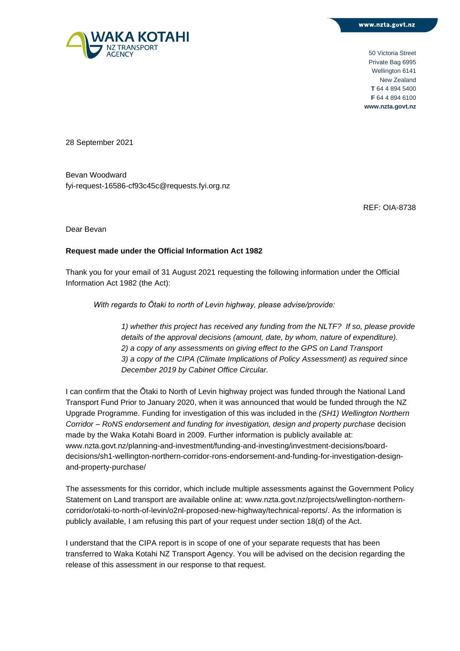

50 Victoria Street Private Bag 6995 Wellington 6141 New Zealand **T** 64 4 894 5400 **F** 64 4 894 6100 **www.nzta.govt.nz**

28 September 2021

Bevan Woodward fyi-request-16586-cf93c45c@requests.fyi.org.nz

REF: OIA-8738

Dear Bevan

## **Request made under the Official Information Act 1982**

Thank you for your email of 31 August 2021 requesting the following information under the Official Information Act 1982 (the Act):

*With regards to Ōtaki to north of Levin highway, please advise/provide:*

*1) whether this project has received any funding from the NLTF? If so, please provide details of the approval decisions (amount, date, by whom, nature of expenditure). 2) a copy of any assessments on giving effect to the GPS on Land Transport 3) a copy of the CIPA (Climate Implications of Policy Assessment) as required since December 2019 by Cabinet Office Circular.*

I can confirm that the Ōtaki to North of Levin highway project was funded through the National Land Transport Fund Prior to January 2020, when it was announced that would be funded through the NZ Upgrade Programme. Funding for investigation of this was included in the *(SH1) Wellington Northern Corridor – RoNS endorsement and funding for investigation, design and property purchase* decision made by the Waka Kotahi Board in 2009. Further information is publicly available at: www.nzta.govt.nz/planning-and-investment/funding-and-investing/investment-decisions/boarddecisions/sh1-wellington-northern-corridor-rons-endorsement-and-funding-for-investigation-designand-property-purchase/

The assessments for this corridor, which include multiple assessments against the Government Policy Statement on Land transport are available online at: www.nzta.govt.nz/projects/wellington-northerncorridor/otaki-to-north-of-levin/o2nl-proposed-new-highway/technical-reports/. As the information is publicly available, I am refusing this part of your request under section 18(d) of the Act.

I understand that the CIPA report is in scope of one of your separate requests that has been transferred to Waka Kotahi NZ Transport Agency. You will be advised on the decision regarding the release of this assessment in our response to that request.